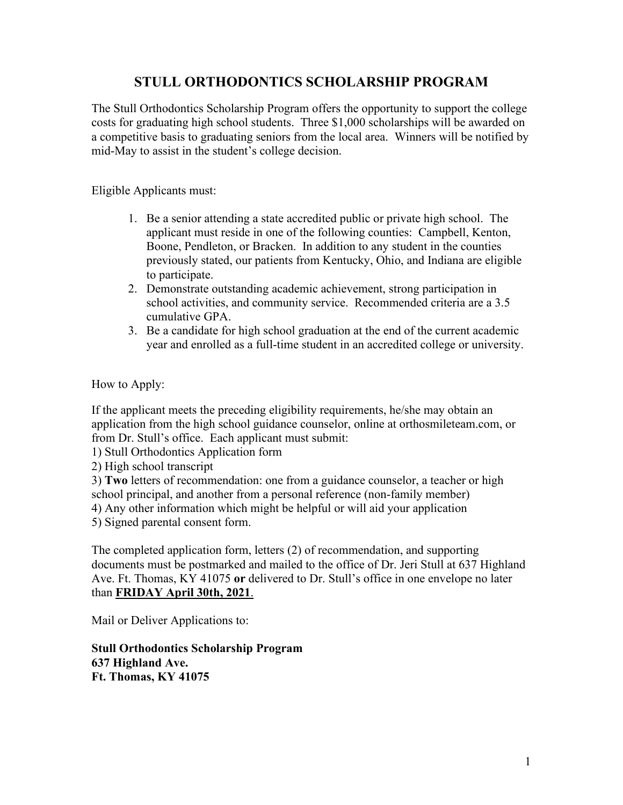The Stull Orthodontics Scholarship Program offers the opportunity to support the college costs for graduating high school students. Three \$1,000 scholarships will be awarded on a competitive basis to graduating seniors from the local area. Winners will be notified by mid-May to assist in the student's college decision.

Eligible Applicants must:

- 1. Be a senior attending a state accredited public or private high school. The applicant must reside in one of the following counties: Campbell, Kenton, Boone, Pendleton, or Bracken. In addition to any student in the counties previously stated, our patients from Kentucky, Ohio, and Indiana are eligible to participate.
- 2. Demonstrate outstanding academic achievement, strong participation in school activities, and community service. Recommended criteria are a 3.5 cumulative GPA.
- 3. Be a candidate for high school graduation at the end of the current academic year and enrolled as a full-time student in an accredited college or university.

How to Apply:

If the applicant meets the preceding eligibility requirements, he/she may obtain an application from the high school guidance counselor, online at orthosmileteam.com, or from Dr. Stull's office. Each applicant must submit:

1) Stull Orthodontics Application form

2) High school transcript

3) **Two** letters of recommendation: one from a guidance counselor, a teacher or high school principal, and another from a personal reference (non-family member) 4) Any other information which might be helpful or will aid your application

5) Signed parental consent form.

The completed application form, letters (2) of recommendation, and supporting documents must be postmarked and mailed to the office of Dr. Jeri Stull at 637 Highland Ave. Ft. Thomas, KY 41075 **or** delivered to Dr. Stull's office in one envelope no later than **FRIDAY April 30th, 2021**.

Mail or Deliver Applications to:

**Stull Orthodontics Scholarship Program 637 Highland Ave. Ft. Thomas, KY 41075**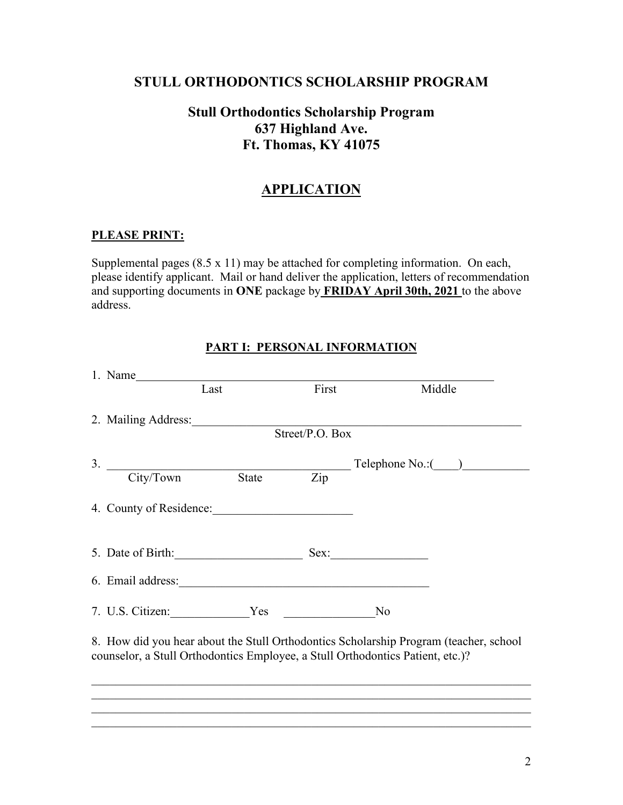## **Stull Orthodontics Scholarship Program 637 Highland Ave. Ft. Thomas, KY 41075**

## **APPLICATION**

#### **PLEASE PRINT:**

Supplemental pages (8.5 x 11) may be attached for completing information. On each, please identify applicant. Mail or hand deliver the application, letters of recommendation and supporting documents in **ONE** package by **FRIDAY April 30th, 2021** to the above address.

|                                                                                                                                                                         | 1. Name                 |                             |                 |                                    |  |  |
|-------------------------------------------------------------------------------------------------------------------------------------------------------------------------|-------------------------|-----------------------------|-----------------|------------------------------------|--|--|
|                                                                                                                                                                         |                         | Last                        | First           | Middle                             |  |  |
|                                                                                                                                                                         | 2. Mailing Address:     |                             | Street/P.O. Box |                                    |  |  |
|                                                                                                                                                                         |                         |                             |                 | $\text{Telephone No.}:$ $\qquad$ ) |  |  |
|                                                                                                                                                                         | $3.$ City/Town State    |                             | Zip             |                                    |  |  |
|                                                                                                                                                                         | 4. County of Residence: |                             |                 |                                    |  |  |
|                                                                                                                                                                         |                         | 5. Date of Birth: Sex: Sex: |                 |                                    |  |  |
|                                                                                                                                                                         |                         |                             |                 |                                    |  |  |
|                                                                                                                                                                         |                         | 7. U.S. Citizen: Yes        |                 | N <sub>o</sub>                     |  |  |
| 8. How did you hear about the Stull Orthodontics Scholarship Program (teacher, school<br>counselor, a Stull Orthodontics Employee, a Stull Orthodontics Patient, etc.)? |                         |                             |                 |                                    |  |  |
|                                                                                                                                                                         |                         |                             |                 |                                    |  |  |

#### **PART I: PERSONAL INFORMATION**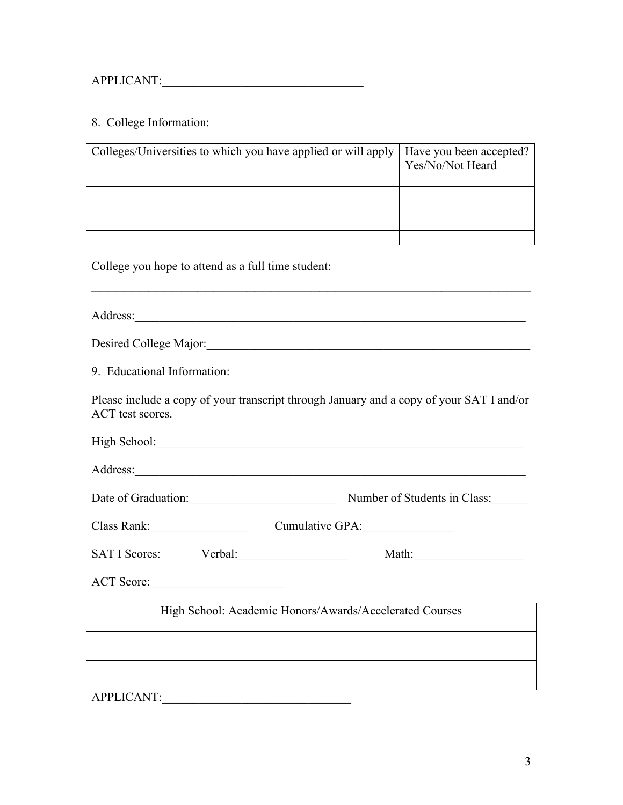#### 8. College Information:

| Colleges/Universities to which you have applied or will apply | Have you been accepted?<br>Yes/No/Not Heard |
|---------------------------------------------------------------|---------------------------------------------|
|                                                               |                                             |
|                                                               |                                             |
|                                                               |                                             |
|                                                               |                                             |
|                                                               |                                             |

 $\mathcal{L}_\text{G}$  , and the contribution of the contribution of the contribution of the contribution of the contribution of the contribution of the contribution of the contribution of the contribution of the contribution of t

College you hope to attend as a full time student:

Address:

| Desired College Major: |  |
|------------------------|--|
|                        |  |

9. Educational Information:

Please include a copy of your transcript through January and a copy of your SAT I and/or ACT test scores.

| High School: |
|--------------|
|--------------|

Address:\_\_\_\_\_\_\_\_\_\_\_\_\_\_\_\_\_\_\_\_\_\_\_\_\_\_\_\_\_\_\_\_\_\_\_\_\_\_\_\_\_\_\_\_\_\_\_\_\_\_\_\_\_\_\_\_\_\_\_\_\_\_\_\_

Date of Graduation: Number of Students in Class:

| Class Rank: | Cumulative GPA: |
|-------------|-----------------|
|             |                 |

| <b>SA</b><br>. פטוי<br>. . |  |  |
|----------------------------|--|--|
|----------------------------|--|--|

ACT Score:\_\_\_\_\_\_\_\_\_\_\_\_\_\_\_\_\_\_\_\_\_\_

High School: Academic Honors/Awards/Accelerated Courses

APPLICANT: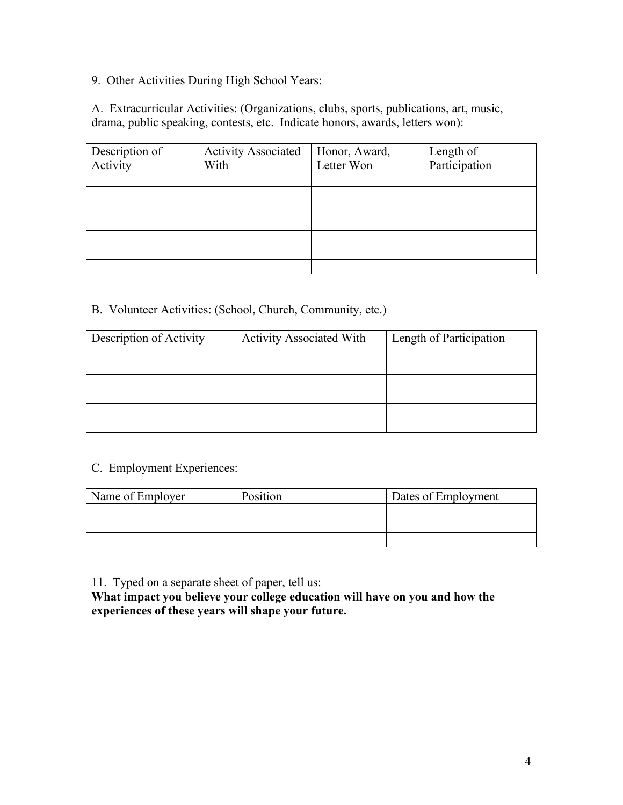9. Other Activities During High School Years:

A. Extracurricular Activities: (Organizations, clubs, sports, publications, art, music, drama, public speaking, contests, etc. Indicate honors, awards, letters won):

| Description of | <b>Activity Associated</b> | Honor, Award, | Length of     |
|----------------|----------------------------|---------------|---------------|
| Activity       | With                       | Letter Won    | Participation |
|                |                            |               |               |
|                |                            |               |               |
|                |                            |               |               |
|                |                            |               |               |
|                |                            |               |               |
|                |                            |               |               |
|                |                            |               |               |

B. Volunteer Activities: (School, Church, Community, etc.)

| Description of Activity | <b>Activity Associated With</b> | Length of Participation |  |
|-------------------------|---------------------------------|-------------------------|--|
|                         |                                 |                         |  |
|                         |                                 |                         |  |
|                         |                                 |                         |  |
|                         |                                 |                         |  |
|                         |                                 |                         |  |
|                         |                                 |                         |  |

#### C. Employment Experiences:

| Name of Employer | Position | Dates of Employment |
|------------------|----------|---------------------|
|                  |          |                     |
|                  |          |                     |
|                  |          |                     |

11. Typed on a separate sheet of paper, tell us:

**What impact you believe your college education will have on you and how the experiences of these years will shape your future.**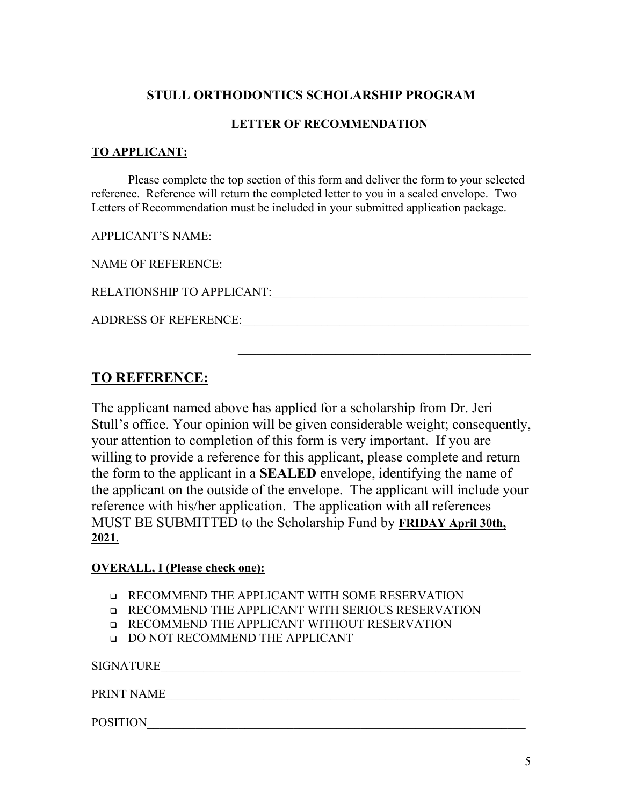#### **LETTER OF RECOMMENDATION**

### **TO APPLICANT:**

Please complete the top section of this form and deliver the form to your selected reference. Reference will return the completed letter to you in a sealed envelope. Two Letters of Recommendation must be included in your submitted application package.

APPLICANT'S NAME:

| <b>NAME OF REFERENCE:</b>         |
|-----------------------------------|
| <b>RELATIONSHIP TO APPLICANT:</b> |
| <b>ADDRESS OF REFERENCE:</b>      |
|                                   |

 $\mathcal{L}_\mathcal{L}$ 

# **TO REFERENCE:**

The applicant named above has applied for a scholarship from Dr. Jeri Stull's office. Your opinion will be given considerable weight; consequently, your attention to completion of this form is very important. If you are willing to provide a reference for this applicant, please complete and return the form to the applicant in a **SEALED** envelope, identifying the name of the applicant on the outside of the envelope. The applicant will include your reference with his/her application. The application with all references MUST BE SUBMITTED to the Scholarship Fund by **FRIDAY April 30th, 2021**.

### **OVERALL, I (Please check one):**

- **Q** RECOMMEND THE APPLICANT WITH SOME RESERVATION
- RECOMMEND THE APPLICANT WITH SERIOUS RESERVATION
- **Q RECOMMEND THE APPLICANT WITHOUT RESERVATION**
- DO NOT RECOMMEND THE APPLICANT

 $\begin{minipage}{0.9\linewidth} \texttt{SIGNATURE\_} \end{minipage}$ 

PRINT NAME\_\_\_\_\_\_\_\_\_\_\_\_\_\_\_\_\_\_\_\_\_\_\_\_\_\_\_\_\_\_\_\_\_\_\_\_\_\_\_\_\_\_\_\_\_\_\_\_\_\_\_\_\_\_\_\_\_\_

POSITION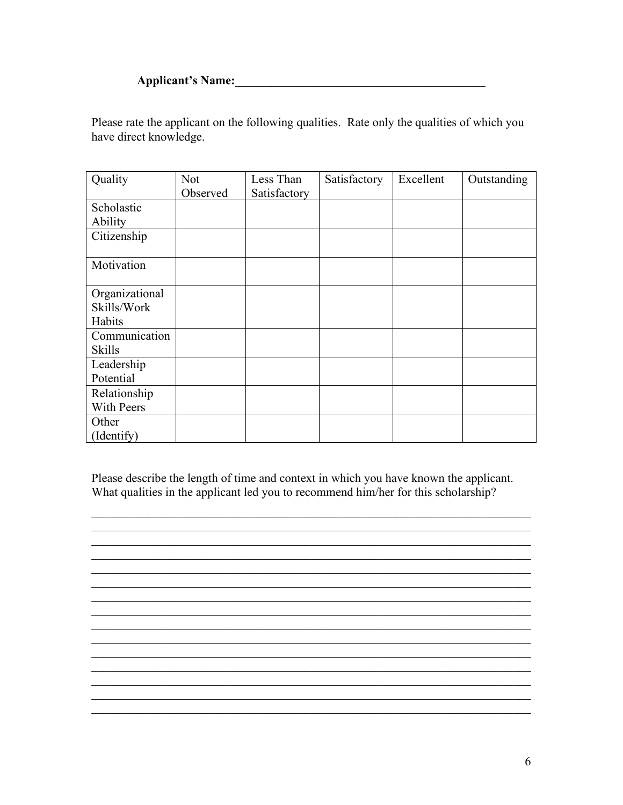## **Applicant's Name:**

Please rate the applicant on the following qualities. Rate only the qualities of which you have direct knowledge.

| Quality        | Not<br>Observed | Less Than<br>Satisfactory | Satisfactory | Excellent | Outstanding |
|----------------|-----------------|---------------------------|--------------|-----------|-------------|
| Scholastic     |                 |                           |              |           |             |
|                |                 |                           |              |           |             |
| Ability        |                 |                           |              |           |             |
| Citizenship    |                 |                           |              |           |             |
| Motivation     |                 |                           |              |           |             |
| Organizational |                 |                           |              |           |             |
| Skills/Work    |                 |                           |              |           |             |
| Habits         |                 |                           |              |           |             |
| Communication  |                 |                           |              |           |             |
| <b>Skills</b>  |                 |                           |              |           |             |
| Leadership     |                 |                           |              |           |             |
| Potential      |                 |                           |              |           |             |
| Relationship   |                 |                           |              |           |             |
| With Peers     |                 |                           |              |           |             |
| Other          |                 |                           |              |           |             |
| (Identify)     |                 |                           |              |           |             |

Please describe the length of time and context in which you have known the applicant. What qualities in the applicant led you to recommend him/her for this scholarship?

<u> 1999 - Johann John Stone, markin film ar yn y brenin y brenin y brenin y brenin y brenin y brenin y brenin y</u>

<u> 1999 - Johann John Stone, mars and deutscher Stone (1990)</u>

<u> 1989 - Johann Stoff, amerikansk politiker (d. 1989)</u>

<u> 1989 - Johann Stoff, amerikansk politiker (d. 1989)</u>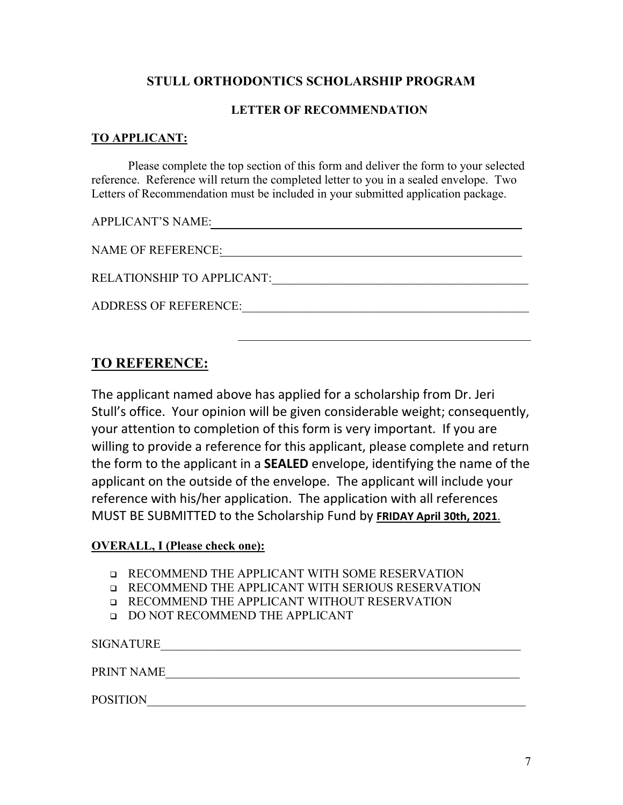### **LETTER OF RECOMMENDATION**

### **TO APPLICANT:**

Please complete the top section of this form and deliver the form to your selected reference. Reference will return the completed letter to you in a sealed envelope. Two Letters of Recommendation must be included in your submitted application package.

APPLICANT'S NAME:

NAME OF REFERENCE:

RELATIONSHIP TO APPLICANT:

ADDRESS OF REFERENCE:  $\blacksquare$ 

# **TO REFERENCE:**

The applicant named above has applied for a scholarship from Dr. Jeri Stull's office. Your opinion will be given considerable weight; consequently, your attention to completion of this form is very important. If you are willing to provide a reference for this applicant, please complete and return the form to the applicant in a **SEALED** envelope, identifying the name of the applicant on the outside of the envelope. The applicant will include your reference with his/her application. The application with all references MUST BE SUBMITTED to the Scholarship Fund by **FRIDAY April 30th, 2021**.

#### **OVERALL, I (Please check one):**

- RECOMMEND THE APPLICANT WITH SOME RESERVATION
- RECOMMEND THE APPLICANT WITH SERIOUS RESERVATION
- **Q** RECOMMEND THE APPLICANT WITHOUT RESERVATION
- DO NOT RECOMMEND THE APPLICANT

SIGNATURE PRINT NAME\_\_\_\_\_\_\_\_\_\_\_\_\_\_\_\_\_\_\_\_\_\_\_\_\_\_\_\_\_\_\_\_\_\_\_\_\_\_\_\_\_\_\_\_\_\_\_\_\_\_\_\_\_\_\_\_\_\_

POSITION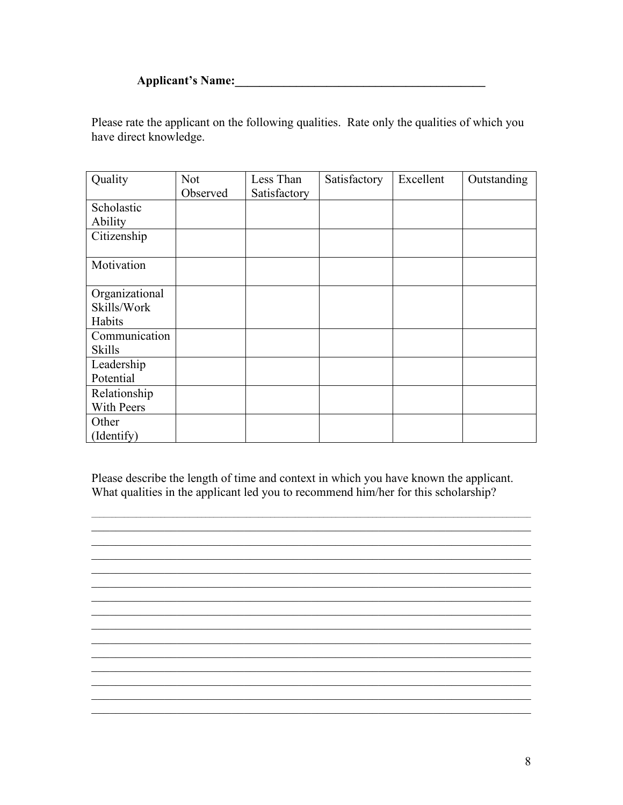## **Applicant's Name:**

Please rate the applicant on the following qualities. Rate only the qualities of which you have direct knowledge.

| Quality        | <b>Not</b><br>Observed | Less Than<br>Satisfactory | Satisfactory | Excellent | Outstanding |
|----------------|------------------------|---------------------------|--------------|-----------|-------------|
| Scholastic     |                        |                           |              |           |             |
|                |                        |                           |              |           |             |
| Ability        |                        |                           |              |           |             |
| Citizenship    |                        |                           |              |           |             |
| Motivation     |                        |                           |              |           |             |
| Organizational |                        |                           |              |           |             |
| Skills/Work    |                        |                           |              |           |             |
| Habits         |                        |                           |              |           |             |
| Communication  |                        |                           |              |           |             |
| <b>Skills</b>  |                        |                           |              |           |             |
| Leadership     |                        |                           |              |           |             |
| Potential      |                        |                           |              |           |             |
| Relationship   |                        |                           |              |           |             |
| With Peers     |                        |                           |              |           |             |
| Other          |                        |                           |              |           |             |
| (Identify)     |                        |                           |              |           |             |

Please describe the length of time and context in which you have known the applicant. What qualities in the applicant led you to recommend him/her for this scholarship?

<u> 1999 - Johann John Stone, mars and deutscher Stone (1990)</u>

<u> 1989 - Johann Stoff, amerikansk politiker (d. 1989)</u>

<u> 1989 - Johann Stoff, amerikansk politiker (d. 1989)</u>